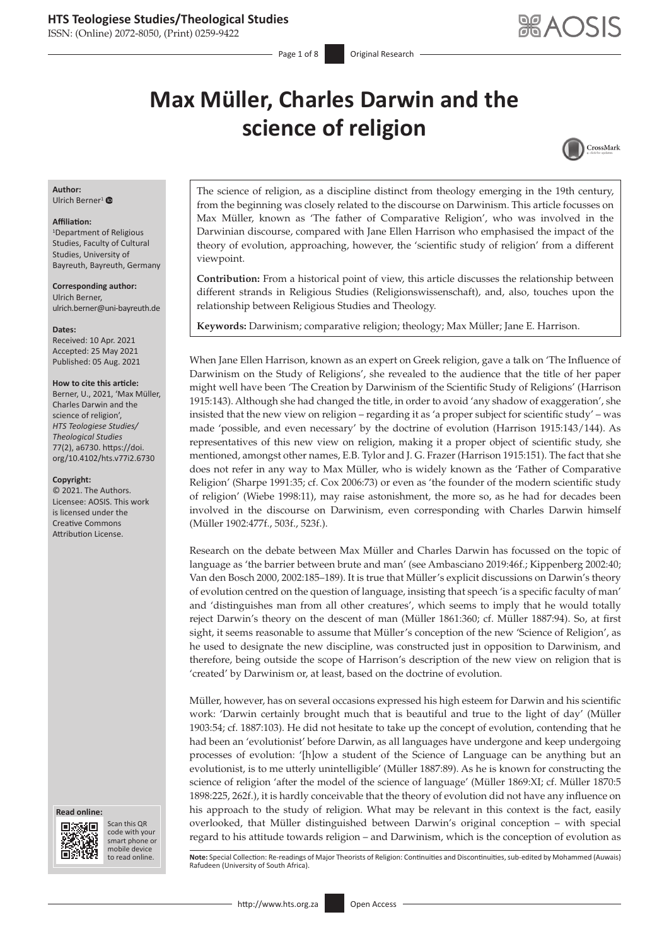ISSN: (Online) 2072-8050, (Print) 0259-9422

Page 1 of 8 **Original Research** 

# **Max Müller, Charles Darwin and the science of religion**



## **Author:**

Ulrich Berner<sup>[1](https://orcid.org/0000-0001-7187-3878)</sup> $\bullet$ 

#### **Affiliation:**

1 Department of Religious Studies, Faculty of Cultural Studies, University of Bayreuth, Bayreuth, Germany

**Corresponding author:** Ulrich Berner, [ulrich.berner@uni-bayreuth.de](mailto:ulrich.berner@uni-bayreuth.de)

#### **Dates:**

Received: 10 Apr. 2021 Accepted: 25 May 2021 Published: 05 Aug. 2021

#### **How to cite this article:**

Berner, U., 2021, 'Max Müller, Charles Darwin and the science of religion', *HTS Teologiese Studies/ Theological Studies* 77(2), a6730. [https://doi.](https://doi.org/10.4102/hts.v77i2.6730) [org/10.4102/hts.v77i2.6730](https://doi.org/10.4102/hts.v77i2.6730)

#### **Copyright:**

© 2021. The Authors. Licensee: AOSIS. This work is licensed under the Creative Commons Attribution License.





Scan this QR code with your Scan this QR<br>code with your<br>smart phone or<br>mobile device mobile device to read online.

The science of religion, as a discipline distinct from theology emerging in the 19th century, from the beginning was closely related to the discourse on Darwinism. This article focusses on Max Müller, known as 'The father of Comparative Religion', who was involved in the Darwinian discourse, compared with Jane Ellen Harrison who emphasised the impact of the theory of evolution, approaching, however, the 'scientific study of religion' from a different viewpoint.

**Contribution:** From a historical point of view, this article discusses the relationship between different strands in Religious Studies (Religionswissenschaft), and, also, touches upon the relationship between Religious Studies and Theology.

**Keywords:** Darwinism; comparative religion; theology; Max Müller; Jane E. Harrison.

When Jane Ellen Harrison, known as an expert on Greek religion, gave a talk on 'The Influence of Darwinism on the Study of Religions', she revealed to the audience that the title of her paper might well have been 'The Creation by Darwinism of the Scientific Study of Religions' (Harrison 1915:143). Although she had changed the title, in order to avoid 'any shadow of exaggeration', she insisted that the new view on religion – regarding it as 'a proper subject for scientific study' – was made 'possible, and even necessary' by the doctrine of evolution (Harrison 1915:143/144). As representatives of this new view on religion, making it a proper object of scientific study, she mentioned, amongst other names, E.B. Tylor and J. G. Frazer (Harrison 1915:151). The fact that she does not refer in any way to Max Müller, who is widely known as the 'Father of Comparative Religion' (Sharpe 1991:35; cf. Cox 2006:73) or even as 'the founder of the modern scientific study of religion' (Wiebe 1998:11), may raise astonishment, the more so, as he had for decades been involved in the discourse on Darwinism, even corresponding with Charles Darwin himself (Müller 1902:477f., 503f., 523f.).

Research on the debate between Max Müller and Charles Darwin has focussed on the topic of language as 'the barrier between brute and man' (see Ambasciano 2019:46f.; Kippenberg 2002:40; Van den Bosch 2000, 2002:185–189). It is true that Müller's explicit discussions on Darwin's theory of evolution centred on the question of language, insisting that speech 'is a specific faculty of man' and 'distinguishes man from all other creatures', which seems to imply that he would totally reject Darwin's theory on the descent of man (Müller 1861:360; cf. Müller 1887:94). So, at first sight, it seems reasonable to assume that Müller's conception of the new 'Science of Religion', as he used to designate the new discipline, was constructed just in opposition to Darwinism, and therefore, being outside the scope of Harrison's description of the new view on religion that is 'created' by Darwinism or, at least, based on the doctrine of evolution.

Müller, however, has on several occasions expressed his high esteem for Darwin and his scientific work: 'Darwin certainly brought much that is beautiful and true to the light of day' (Müller 1903:54; cf. 1887:103). He did not hesitate to take up the concept of evolution, contending that he had been an 'evolutionist' before Darwin, as all languages have undergone and keep undergoing processes of evolution: '[h]ow a student of the Science of Language can be anything but an evolutionist, is to me utterly unintelligible' (Müller 1887:89). As he is known for constructing the science of religion 'after the model of the science of language' (Müller 1869:XI; cf. Müller 1870:5 1898:225, 262f.), it is hardly conceivable that the theory of evolution did not have any influence on his approach to the study of religion. What may be relevant in this context is the fact, easily overlooked, that Müller distinguished between Darwin's original conception – with special regard to his attitude towards religion – and Darwinism, which is the conception of evolution as

Note: Special Collection: Re-readings of Major Theorists of Religion: Continuities and Discontinuities, sub-edited by Mohammed (Auwais) Rafudeen (University of South Africa).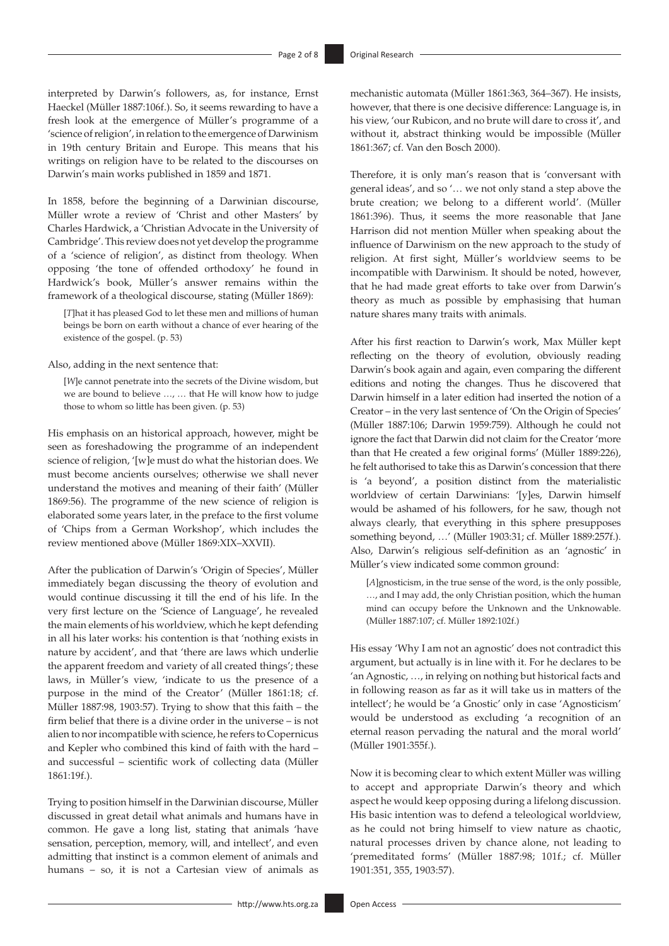interpreted by Darwin's followers, as, for instance, Ernst Haeckel (Müller 1887:106f.). So, it seems rewarding to have a fresh look at the emergence of Müller's programme of a 'science of religion', in relation to the emergence of Darwinism in 19th century Britain and Europe. This means that his writings on religion have to be related to the discourses on Darwin's main works published in 1859 and 1871.

In 1858, before the beginning of a Darwinian discourse, Müller wrote a review of 'Christ and other Masters' by Charles Hardwick, a 'Christian Advocate in the University of Cambridge'. This review does not yet develop the programme of a 'science of religion', as distinct from theology. When opposing 'the tone of offended orthodoxy' he found in Hardwick's book, Müller's answer remains within the framework of a theological discourse, stating (Müller 1869):

[*T*]hat it has pleased God to let these men and millions of human beings be born on earth without a chance of ever hearing of the existence of the gospel. (p. 53)

Also, adding in the next sentence that:

[*W*]e cannot penetrate into the secrets of the Divine wisdom, but we are bound to believe …, … that He will know how to judge those to whom so little has been given. (p. 53)

His emphasis on an historical approach, however, might be seen as foreshadowing the programme of an independent science of religion, '[w]e must do what the historian does. We must become ancients ourselves; otherwise we shall never understand the motives and meaning of their faith' (Müller 1869:56). The programme of the new science of religion is elaborated some years later, in the preface to the first volume of 'Chips from a German Workshop', which includes the review mentioned above (Müller 1869:XIX–XXVII).

After the publication of Darwin's 'Origin of Species', Müller immediately began discussing the theory of evolution and would continue discussing it till the end of his life. In the very first lecture on the 'Science of Language', he revealed the main elements of his worldview, which he kept defending in all his later works: his contention is that 'nothing exists in nature by accident', and that 'there are laws which underlie the apparent freedom and variety of all created things'; these laws, in Müller's view, 'indicate to us the presence of a purpose in the mind of the Creator' (Müller 1861:18; cf. Müller 1887:98, 1903:57). Trying to show that this faith – the firm belief that there is a divine order in the universe – is not alien to nor incompatible with science, he refers to Copernicus and Kepler who combined this kind of faith with the hard – and successful – scientific work of collecting data (Müller 1861:19f.).

Trying to position himself in the Darwinian discourse, Müller discussed in great detail what animals and humans have in common. He gave a long list, stating that animals 'have sensation, perception, memory, will, and intellect', and even admitting that instinct is a common element of animals and humans – so, it is not a Cartesian view of animals as

mechanistic automata (Müller 1861:363, 364–367). He insists, however, that there is one decisive difference: Language is, in his view, 'our Rubicon, and no brute will dare to cross it', and without it, abstract thinking would be impossible (Müller 1861:367; cf. Van den Bosch 2000).

Therefore, it is only man's reason that is 'conversant with general ideas', and so '… we not only stand a step above the brute creation; we belong to a different world'. (Müller 1861:396). Thus, it seems the more reasonable that Jane Harrison did not mention Müller when speaking about the influence of Darwinism on the new approach to the study of religion. At first sight, Müller's worldview seems to be incompatible with Darwinism. It should be noted, however, that he had made great efforts to take over from Darwin's theory as much as possible by emphasising that human nature shares many traits with animals.

After his first reaction to Darwin's work, Max Müller kept reflecting on the theory of evolution, obviously reading Darwin's book again and again, even comparing the different editions and noting the changes. Thus he discovered that Darwin himself in a later edition had inserted the notion of a Creator – in the very last sentence of 'On the Origin of Species' (Müller 1887:106; Darwin 1959:759). Although he could not ignore the fact that Darwin did not claim for the Creator 'more than that He created a few original forms' (Müller 1889:226), he felt authorised to take this as Darwin's concession that there is 'a beyond', a position distinct from the materialistic worldview of certain Darwinians: '[y]es, Darwin himself would be ashamed of his followers, for he saw, though not always clearly, that everything in this sphere presupposes something beyond, …' (Müller 1903:31; cf. Müller 1889:257f.). Also, Darwin's religious self-definition as an 'agnostic' in Müller's view indicated some common ground:

[*A*]gnosticism, in the true sense of the word, is the only possible, …, and I may add, the only Christian position, which the human mind can occupy before the Unknown and the Unknowable. (Müller 1887:107; cf. Müller 1892:102f.)

His essay 'Why I am not an agnostic' does not contradict this argument, but actually is in line with it. For he declares to be 'an Agnostic, …, in relying on nothing but historical facts and in following reason as far as it will take us in matters of the intellect'; he would be 'a Gnostic' only in case 'Agnosticism' would be understood as excluding 'a recognition of an eternal reason pervading the natural and the moral world' (Müller 1901:355f.).

Now it is becoming clear to which extent Müller was willing to accept and appropriate Darwin's theory and which aspect he would keep opposing during a lifelong discussion. His basic intention was to defend a teleological worldview, as he could not bring himself to view nature as chaotic, natural processes driven by chance alone, not leading to 'premeditated forms' (Müller 1887:98; 101f.; cf. Müller 1901:351, 355, 1903:57).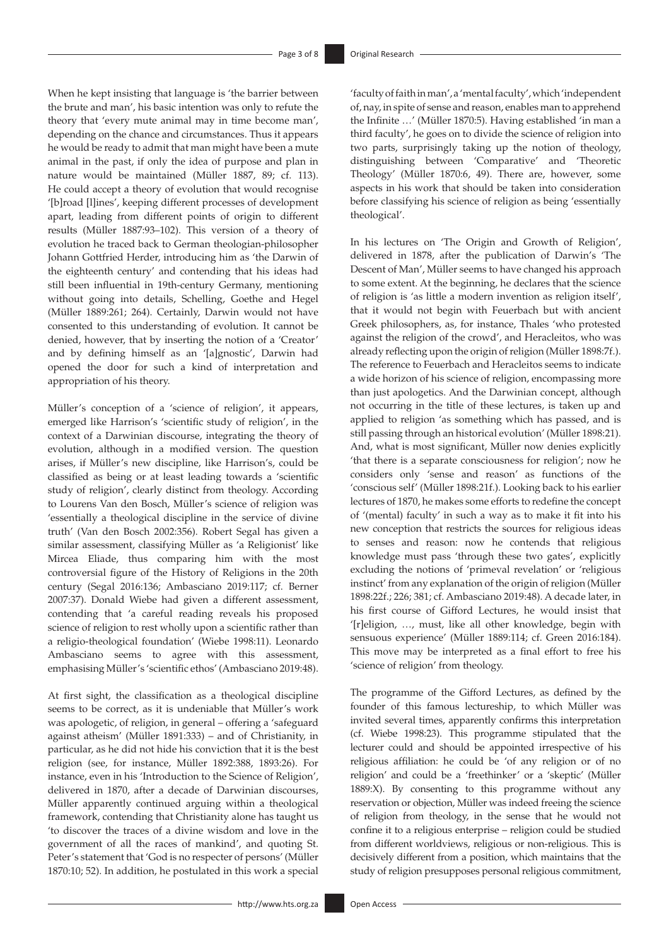When he kept insisting that language is 'the barrier between the brute and man', his basic intention was only to refute the theory that 'every mute animal may in time become man', depending on the chance and circumstances. Thus it appears he would be ready to admit that man might have been a mute animal in the past, if only the idea of purpose and plan in nature would be maintained (Müller 1887, 89; cf. 113). He could accept a theory of evolution that would recognise '[b]road [l]ines', keeping different processes of development apart, leading from different points of origin to different results (Müller 1887:93–102). This version of a theory of evolution he traced back to German theologian-philosopher Johann Gottfried Herder, introducing him as 'the Darwin of the eighteenth century' and contending that his ideas had still been influential in 19th-century Germany, mentioning without going into details, Schelling, Goethe and Hegel (Müller 1889:261; 264). Certainly, Darwin would not have consented to this understanding of evolution. It cannot be denied, however, that by inserting the notion of a 'Creator' and by defining himself as an '[a]gnostic', Darwin had opened the door for such a kind of interpretation and appropriation of his theory.

Müller's conception of a 'science of religion', it appears, emerged like Harrison's 'scientific study of religion', in the context of a Darwinian discourse, integrating the theory of evolution, although in a modified version. The question arises, if Müller's new discipline, like Harrison's, could be classified as being or at least leading towards a 'scientific study of religion', clearly distinct from theology. According to Lourens Van den Bosch, Müller's science of religion was 'essentially a theological discipline in the service of divine truth' (Van den Bosch 2002:356). Robert Segal has given a similar assessment, classifying Müller as 'a Religionist' like Mircea Eliade, thus comparing him with the most controversial figure of the History of Religions in the 20th century (Segal 2016:136; Ambasciano 2019:117; cf. Berner 2007:37). Donald Wiebe had given a different assessment, contending that 'a careful reading reveals his proposed science of religion to rest wholly upon a scientific rather than a religio-theological foundation' (Wiebe 1998:11). Leonardo Ambasciano seems to agree with this assessment, emphasising Müller's 'scientific ethos' (Ambasciano 2019:48).

At first sight, the classification as a theological discipline seems to be correct, as it is undeniable that Müller's work was apologetic, of religion, in general – offering a 'safeguard against atheism' (Müller 1891:333) – and of Christianity, in particular, as he did not hide his conviction that it is the best religion (see, for instance, Müller 1892:388, 1893:26). For instance, even in his 'Introduction to the Science of Religion', delivered in 1870, after a decade of Darwinian discourses, Müller apparently continued arguing within a theological framework, contending that Christianity alone has taught us 'to discover the traces of a divine wisdom and love in the government of all the races of mankind', and quoting St. Peter's statement that 'God is no respecter of persons' (Müller 1870:10; 52). In addition, he postulated in this work a special

'faculty of faith in man', a 'mental faculty', which 'independent of, nay, in spite of sense and reason, enables man to apprehend the Infinite …' (Müller 1870:5). Having established 'in man a third faculty', he goes on to divide the science of religion into two parts, surprisingly taking up the notion of theology, distinguishing between 'Comparative' and 'Theoretic Theology' (Müller 1870:6, 49). There are, however, some aspects in his work that should be taken into consideration before classifying his science of religion as being 'essentially theological'.

In his lectures on 'The Origin and Growth of Religion', delivered in 1878, after the publication of Darwin's 'The Descent of Man', Müller seems to have changed his approach to some extent. At the beginning, he declares that the science of religion is 'as little a modern invention as religion itself', that it would not begin with Feuerbach but with ancient Greek philosophers, as, for instance, Thales 'who protested against the religion of the crowd', and Heracleitos, who was already reflecting upon the origin of religion (Müller 1898:7f.). The reference to Feuerbach and Heracleitos seems to indicate a wide horizon of his science of religion, encompassing more than just apologetics. And the Darwinian concept, although not occurring in the title of these lectures, is taken up and applied to religion 'as something which has passed, and is still passing through an historical evolution' (Müller 1898:21). And, what is most significant, Müller now denies explicitly 'that there is a separate consciousness for religion'; now he considers only 'sense and reason' as functions of the 'conscious self' (Müller 1898:21f.). Looking back to his earlier lectures of 1870, he makes some efforts to redefine the concept of '(mental) faculty' in such a way as to make it fit into his new conception that restricts the sources for religious ideas to senses and reason: now he contends that religious knowledge must pass 'through these two gates', explicitly excluding the notions of 'primeval revelation' or 'religious instinct' from any explanation of the origin of religion (Müller 1898:22f.; 226; 381; cf. Ambasciano 2019:48). A decade later, in his first course of Gifford Lectures, he would insist that '[r]eligion, …, must, like all other knowledge, begin with sensuous experience' (Müller 1889:114; cf. Green 2016:184). This move may be interpreted as a final effort to free his 'science of religion' from theology.

The programme of the Gifford Lectures, as defined by the founder of this famous lectureship, to which Müller was invited several times, apparently confirms this interpretation (cf. Wiebe 1998:23). This programme stipulated that the lecturer could and should be appointed irrespective of his religious affiliation: he could be 'of any religion or of no religion' and could be a 'freethinker' or a 'skeptic' (Müller 1889:X). By consenting to this programme without any reservation or objection, Müller was indeed freeing the science of religion from theology, in the sense that he would not confine it to a religious enterprise – religion could be studied from different worldviews, religious or non-religious. This is decisively different from a position, which maintains that the study of religion presupposes personal religious commitment,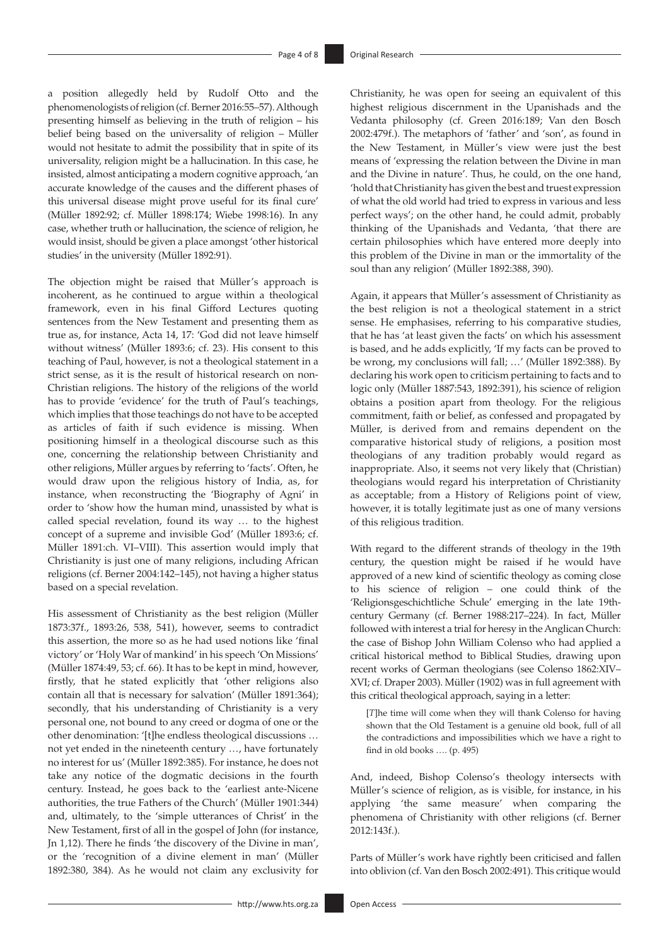a position allegedly held by Rudolf Otto and the phenomenologists of religion (cf. Berner 2016:55–57). Although presenting himself as believing in the truth of religion – his belief being based on the universality of religion – Müller would not hesitate to admit the possibility that in spite of its universality, religion might be a hallucination. In this case, he insisted, almost anticipating a modern cognitive approach, 'an accurate knowledge of the causes and the different phases of this universal disease might prove useful for its final cure' (Müller 1892:92; cf. Müller 1898:174; Wiebe 1998:16). In any case, whether truth or hallucination, the science of religion, he would insist, should be given a place amongst 'other historical studies' in the university (Müller 1892:91).

The objection might be raised that Müller's approach is incoherent, as he continued to argue within a theological framework, even in his final Gifford Lectures quoting sentences from the New Testament and presenting them as true as, for instance, Acta 14, 17: 'God did not leave himself without witness' (Müller 1893:6; cf. 23). His consent to this teaching of Paul, however, is not a theological statement in a strict sense, as it is the result of historical research on non-Christian religions. The history of the religions of the world has to provide 'evidence' for the truth of Paul's teachings, which implies that those teachings do not have to be accepted as articles of faith if such evidence is missing. When positioning himself in a theological discourse such as this one, concerning the relationship between Christianity and other religions, Müller argues by referring to 'facts'. Often, he would draw upon the religious history of India, as, for instance, when reconstructing the 'Biography of Agni' in order to 'show how the human mind, unassisted by what is called special revelation, found its way … to the highest concept of a supreme and invisible God' (Müller 1893:6; cf. Müller 1891:ch. VI–VIII). This assertion would imply that Christianity is just one of many religions, including African religions (cf. Berner 2004:142–145), not having a higher status based on a special revelation.

His assessment of Christianity as the best religion (Müller 1873:37f., 1893:26, 538, 541), however, seems to contradict this assertion, the more so as he had used notions like 'final victory' or 'Holy War of mankind' in his speech 'On Missions' (Müller 1874:49, 53; cf. 66). It has to be kept in mind, however, firstly, that he stated explicitly that 'other religions also contain all that is necessary for salvation' (Müller 1891:364); secondly, that his understanding of Christianity is a very personal one, not bound to any creed or dogma of one or the other denomination: '[t]he endless theological discussions … not yet ended in the nineteenth century …, have fortunately no interest for us' (Müller 1892:385). For instance, he does not take any notice of the dogmatic decisions in the fourth century. Instead, he goes back to the 'earliest ante-Nicene authorities, the true Fathers of the Church' (Müller 1901:344) and, ultimately, to the 'simple utterances of Christ' in the New Testament, first of all in the gospel of John (for instance, Jn 1,12). There he finds 'the discovery of the Divine in man', or the 'recognition of a divine element in man' (Müller 1892:380, 384). As he would not claim any exclusivity for

Christianity, he was open for seeing an equivalent of this highest religious discernment in the Upanishads and the Vedanta philosophy (cf. Green 2016:189; Van den Bosch 2002:479f.). The metaphors of 'father' and 'son', as found in the New Testament, in Müller's view were just the best means of 'expressing the relation between the Divine in man and the Divine in nature'. Thus, he could, on the one hand, 'hold that Christianity has given the best and truest expression of what the old world had tried to express in various and less perfect ways'; on the other hand, he could admit, probably thinking of the Upanishads and Vedanta, 'that there are certain philosophies which have entered more deeply into this problem of the Divine in man or the immortality of the soul than any religion' (Müller 1892:388, 390).

Again, it appears that Müller's assessment of Christianity as the best religion is not a theological statement in a strict sense. He emphasises, referring to his comparative studies, that he has 'at least given the facts' on which his assessment is based, and he adds explicitly, 'If my facts can be proved to be wrong, my conclusions will fall; …' (Müller 1892:388). By declaring his work open to criticism pertaining to facts and to logic only (Müller 1887:543, 1892:391), his science of religion obtains a position apart from theology. For the religious commitment, faith or belief, as confessed and propagated by Müller, is derived from and remains dependent on the comparative historical study of religions, a position most theologians of any tradition probably would regard as inappropriate. Also, it seems not very likely that (Christian) theologians would regard his interpretation of Christianity as acceptable; from a History of Religions point of view, however, it is totally legitimate just as one of many versions of this religious tradition.

With regard to the different strands of theology in the 19th century, the question might be raised if he would have approved of a new kind of scientific theology as coming close to his science of religion – one could think of the 'Religionsgeschichtliche Schule' emerging in the late 19thcentury Germany (cf. Berner 1988:217–224). In fact, Müller followed with interest a trial for heresy in the Anglican Church: the case of Bishop John William Colenso who had applied a critical historical method to Biblical Studies, drawing upon recent works of German theologians (see Colenso 1862:XIV– XVI; cf. Draper 2003). Müller (1902) was in full agreement with this critical theological approach, saying in a letter:

[*T*]he time will come when they will thank Colenso for having shown that the Old Testament is a genuine old book, full of all the contradictions and impossibilities which we have a right to find in old books …. (p. 495)

And, indeed, Bishop Colenso's theology intersects with Müller's science of religion, as is visible, for instance, in his applying 'the same measure' when comparing the phenomena of Christianity with other religions (cf. Berner 2012:143f.).

Parts of Müller's work have rightly been criticised and fallen into oblivion (cf. Van den Bosch 2002:491). This critique would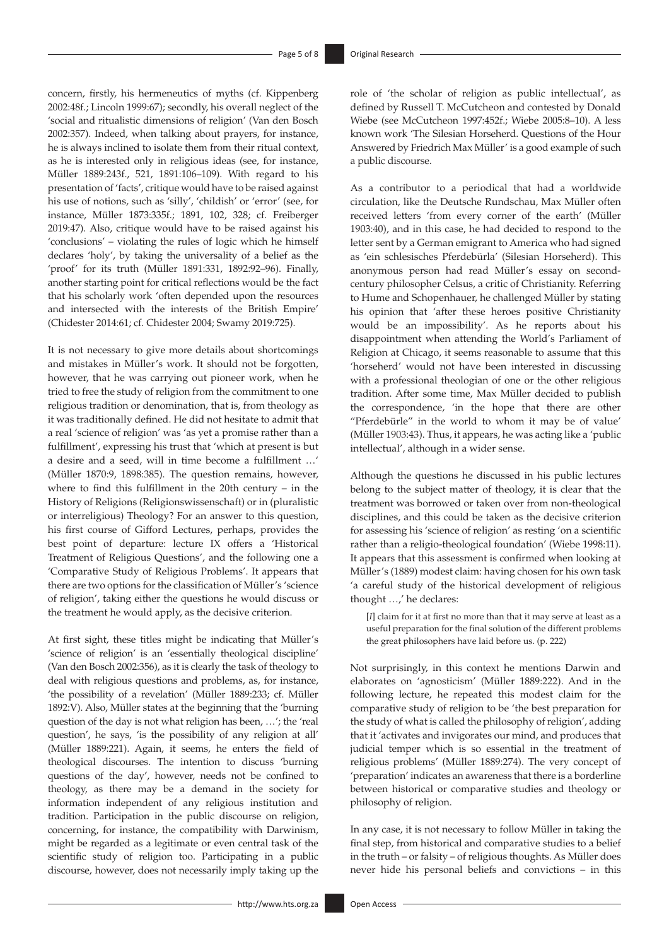concern, firstly, his hermeneutics of myths (cf. Kippenberg 2002:48f.; Lincoln 1999:67); secondly, his overall neglect of the 'social and ritualistic dimensions of religion' (Van den Bosch 2002:357). Indeed, when talking about prayers, for instance, he is always inclined to isolate them from their ritual context, as he is interested only in religious ideas (see, for instance, Müller 1889:243f., 521, 1891:106–109). With regard to his presentation of 'facts', critique would have to be raised against his use of notions, such as 'silly', 'childish' or 'error' (see, for instance, Müller 1873:335f.; 1891, 102, 328; cf. Freiberger 2019:47). Also, critique would have to be raised against his 'conclusions' – violating the rules of logic which he himself declares 'holy', by taking the universality of a belief as the 'proof' for its truth (Müller 1891:331, 1892:92–96). Finally, another starting point for critical reflections would be the fact that his scholarly work 'often depended upon the resources and intersected with the interests of the British Empire' (Chidester 2014:61; cf. Chidester 2004; Swamy 2019:725).

It is not necessary to give more details about shortcomings and mistakes in Müller's work. It should not be forgotten, however, that he was carrying out pioneer work, when he tried to free the study of religion from the commitment to one religious tradition or denomination, that is, from theology as it was traditionally defined. He did not hesitate to admit that a real 'science of religion' was 'as yet a promise rather than a fulfillment', expressing his trust that 'which at present is but a desire and a seed, will in time become a fulfillment …' (Müller 1870:9, 1898:385). The question remains, however, where to find this fulfillment in the 20th century – in the History of Religions (Religionswissenschaft) or in (pluralistic or interreligious) Theology? For an answer to this question, his first course of Gifford Lectures, perhaps, provides the best point of departure: lecture IX offers a 'Historical Treatment of Religious Questions', and the following one a 'Comparative Study of Religious Problems'. It appears that there are two options for the classification of Müller's 'science of religion', taking either the questions he would discuss or the treatment he would apply, as the decisive criterion.

At first sight, these titles might be indicating that Müller's 'science of religion' is an 'essentially theological discipline' (Van den Bosch 2002:356), as it is clearly the task of theology to deal with religious questions and problems, as, for instance, 'the possibility of a revelation' (Müller 1889:233; cf. Müller 1892:V). Also, Müller states at the beginning that the 'burning question of the day is not what religion has been, …'; the 'real question', he says, 'is the possibility of any religion at all' (Müller 1889:221). Again, it seems, he enters the field of theological discourses. The intention to discuss 'burning questions of the day', however, needs not be confined to theology, as there may be a demand in the society for information independent of any religious institution and tradition. Participation in the public discourse on religion, concerning, for instance, the compatibility with Darwinism, might be regarded as a legitimate or even central task of the scientific study of religion too. Participating in a public discourse, however, does not necessarily imply taking up the role of 'the scholar of religion as public intellectual', as defined by Russell T. McCutcheon and contested by Donald Wiebe (see McCutcheon 1997:452f.; Wiebe 2005:8–10). A less known work 'The Silesian Horseherd. Questions of the Hour Answered by Friedrich Max Müller' is a good example of such a public discourse.

As a contributor to a periodical that had a worldwide circulation, like the Deutsche Rundschau, Max Müller often received letters 'from every corner of the earth' (Müller 1903:40), and in this case, he had decided to respond to the letter sent by a German emigrant to America who had signed as 'ein schlesisches Pferdebürla' (Silesian Horseherd). This anonymous person had read Müller's essay on secondcentury philosopher Celsus, a critic of Christianity. Referring to Hume and Schopenhauer, he challenged Müller by stating his opinion that 'after these heroes positive Christianity would be an impossibility'. As he reports about his disappointment when attending the World's Parliament of Religion at Chicago, it seems reasonable to assume that this 'horseherd' would not have been interested in discussing with a professional theologian of one or the other religious tradition. After some time, Max Müller decided to publish the correspondence, 'in the hope that there are other "Pferdebürle" in the world to whom it may be of value' (Müller 1903:43). Thus, it appears, he was acting like a 'public intellectual', although in a wider sense.

Although the questions he discussed in his public lectures belong to the subject matter of theology, it is clear that the treatment was borrowed or taken over from non-theological disciplines, and this could be taken as the decisive criterion for assessing his 'science of religion' as resting 'on a scientific rather than a religio-theological foundation' (Wiebe 1998:11). It appears that this assessment is confirmed when looking at Müller's (1889) modest claim: having chosen for his own task 'a careful study of the historical development of religious thought …,' he declares:

[*I*] claim for it at first no more than that it may serve at least as a useful preparation for the final solution of the different problems the great philosophers have laid before us. (p. 222)

Not surprisingly, in this context he mentions Darwin and elaborates on 'agnosticism' (Müller 1889:222). And in the following lecture, he repeated this modest claim for the comparative study of religion to be 'the best preparation for the study of what is called the philosophy of religion', adding that it 'activates and invigorates our mind, and produces that judicial temper which is so essential in the treatment of religious problems' (Müller 1889:274). The very concept of 'preparation' indicates an awareness that there is a borderline between historical or comparative studies and theology or philosophy of religion.

In any case, it is not necessary to follow Müller in taking the final step, from historical and comparative studies to a belief in the truth – or falsity – of religious thoughts. As Müller does never hide his personal beliefs and convictions – in this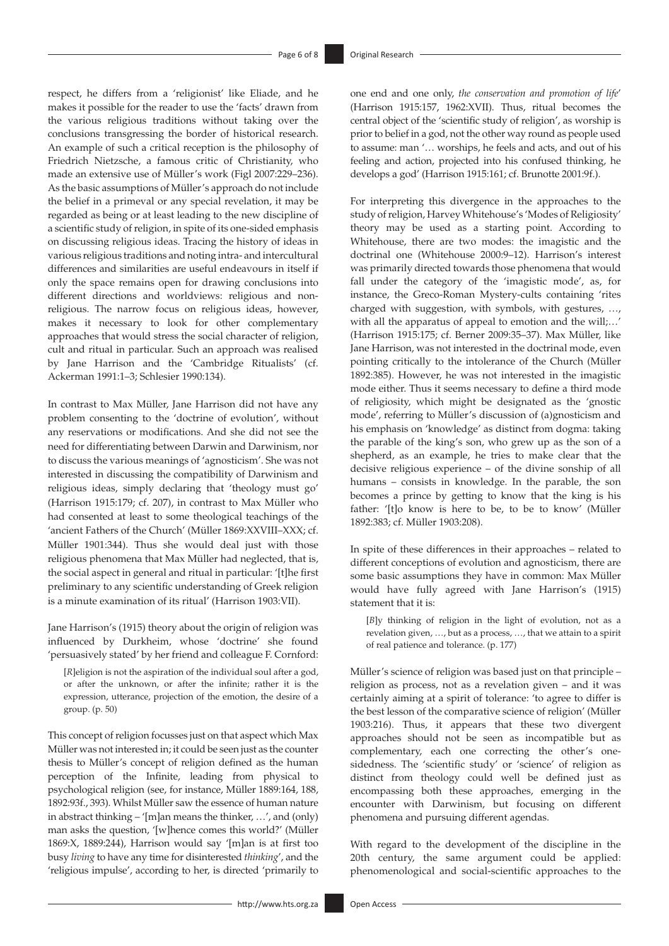respect, he differs from a 'religionist' like Eliade, and he makes it possible for the reader to use the 'facts' drawn from the various religious traditions without taking over the conclusions transgressing the border of historical research. An example of such a critical reception is the philosophy of Friedrich Nietzsche, a famous critic of Christianity, who made an extensive use of Müller's work (Figl 2007:229–236). As the basic assumptions of Müller's approach do not include the belief in a primeval or any special revelation, it may be regarded as being or at least leading to the new discipline of a scientific study of religion, in spite of its one-sided emphasis on discussing religious ideas. Tracing the history of ideas in various religious traditions and noting intra- and intercultural differences and similarities are useful endeavours in itself if only the space remains open for drawing conclusions into different directions and worldviews: religious and nonreligious. The narrow focus on religious ideas, however, makes it necessary to look for other complementary approaches that would stress the social character of religion, cult and ritual in particular. Such an approach was realised by Jane Harrison and the 'Cambridge Ritualists' (cf. Ackerman 1991:1–3; Schlesier 1990:134).

In contrast to Max Müller, Jane Harrison did not have any problem consenting to the 'doctrine of evolution', without any reservations or modifications. And she did not see the need for differentiating between Darwin and Darwinism, nor to discuss the various meanings of 'agnosticism'. She was not interested in discussing the compatibility of Darwinism and religious ideas, simply declaring that 'theology must go' (Harrison 1915:179; cf. 207), in contrast to Max Müller who had consented at least to some theological teachings of the 'ancient Fathers of the Church' (Müller 1869:XXVIII–XXX; cf. Müller 1901:344). Thus she would deal just with those religious phenomena that Max Müller had neglected, that is, the social aspect in general and ritual in particular: '[t]he first preliminary to any scientific understanding of Greek religion is a minute examination of its ritual' (Harrison 1903:VII).

Jane Harrison's (1915) theory about the origin of religion was influenced by Durkheim, whose 'doctrine' she found 'persuasively stated' by her friend and colleague F. Cornford:

[*R*]eligion is not the aspiration of the individual soul after a god, or after the unknown, or after the infinite; rather it is the expression, utterance, projection of the emotion, the desire of a group. (p. 50)

This concept of religion focusses just on that aspect which Max Müller was not interested in; it could be seen just as the counter thesis to Müller's concept of religion defined as the human perception of the Infinite, leading from physical to psychological religion (see, for instance, Müller 1889:164, 188, 1892:93f., 393). Whilst Müller saw the essence of human nature in abstract thinking – '[m]an means the thinker, …', and (only) man asks the question, '[w]hence comes this world?' (Müller 1869:X, 1889:244), Harrison would say '[m]an is at first too busy *living* to have any time for disinterested *thinking*', and the 'religious impulse', according to her, is directed 'primarily to

one end and one only, *the conservation and promotion of life*' (Harrison 1915:157, 1962:XVII). Thus, ritual becomes the central object of the 'scientific study of religion', as worship is prior to belief in a god, not the other way round as people used to assume: man '… worships, he feels and acts, and out of his feeling and action, projected into his confused thinking, he develops a god' (Harrison 1915:161; cf. Brunotte 2001:9f.).

For interpreting this divergence in the approaches to the study of religion, Harvey Whitehouse's 'Modes of Religiosity' theory may be used as a starting point. According to Whitehouse, there are two modes: the imagistic and the doctrinal one (Whitehouse 2000:9–12). Harrison's interest was primarily directed towards those phenomena that would fall under the category of the 'imagistic mode', as, for instance, the Greco-Roman Mystery-cults containing 'rites charged with suggestion, with symbols, with gestures, …, with all the apparatus of appeal to emotion and the will;…' (Harrison 1915:175; cf. Berner 2009:35–37). Max Müller, like Jane Harrison, was not interested in the doctrinal mode, even pointing critically to the intolerance of the Church (Müller 1892:385). However, he was not interested in the imagistic mode either. Thus it seems necessary to define a third mode of religiosity, which might be designated as the 'gnostic mode', referring to Müller's discussion of (a)gnosticism and his emphasis on 'knowledge' as distinct from dogma: taking the parable of the king's son, who grew up as the son of a shepherd, as an example, he tries to make clear that the decisive religious experience – of the divine sonship of all humans – consists in knowledge. In the parable, the son becomes a prince by getting to know that the king is his father: '[t]o know is here to be, to be to know' (Müller 1892:383; cf. Müller 1903:208).

In spite of these differences in their approaches – related to different conceptions of evolution and agnosticism, there are some basic assumptions they have in common: Max Müller would have fully agreed with Jane Harrison's (1915) statement that it is:

[*B*]y thinking of religion in the light of evolution, not as a revelation given, …, but as a process, …, that we attain to a spirit of real patience and tolerance. (p. 177)

Müller's science of religion was based just on that principle – religion as process, not as a revelation given – and it was certainly aiming at a spirit of tolerance: 'to agree to differ is the best lesson of the comparative science of religion' (Müller 1903:216). Thus, it appears that these two divergent approaches should not be seen as incompatible but as complementary, each one correcting the other's onesidedness. The 'scientific study' or 'science' of religion as distinct from theology could well be defined just as encompassing both these approaches, emerging in the encounter with Darwinism, but focusing on different phenomena and pursuing different agendas.

With regard to the development of the discipline in the 20th century, the same argument could be applied: phenomenological and social-scientific approaches to the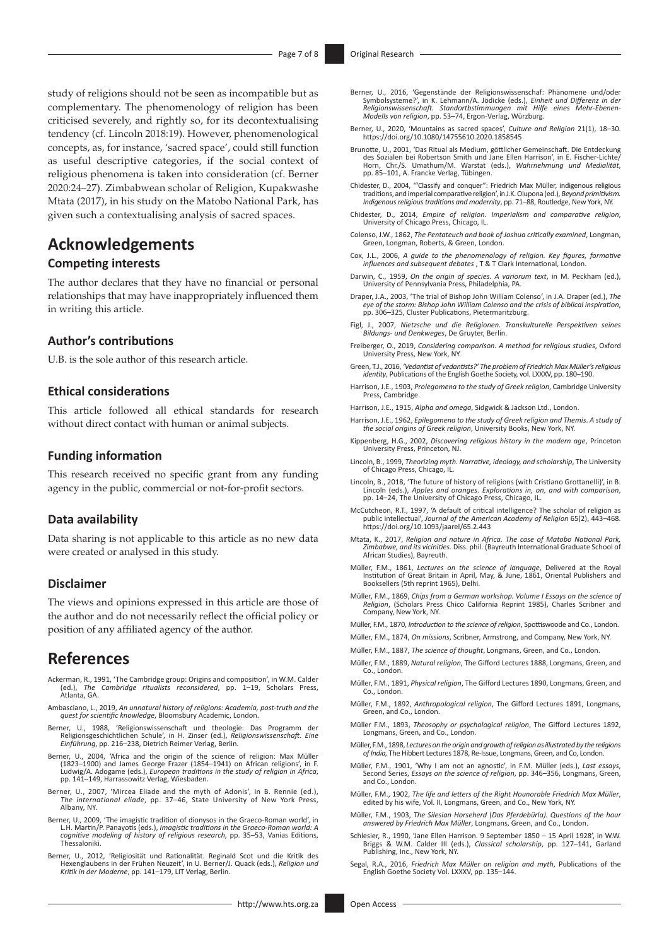study of religions should not be seen as incompatible but as complementary. The phenomenology of religion has been criticised severely, and rightly so, for its decontextualising tendency (cf. Lincoln 2018:19). However, phenomenological concepts, as, for instance, 'sacred space', could still function as useful descriptive categories, if the social context of religious phenomena is taken into consideration (cf. Berner 2020:24–27). Zimbabwean scholar of Religion, Kupakwashe Mtata (2017), in his study on the Matobo National Park, has given such a contextualising analysis of sacred spaces.

# **Acknowledgements**

## **Competing interests**

The author declares that they have no financial or personal relationships that may have inappropriately influenced them in writing this article.

## **Author's contributions**

U.B. is the sole author of this research article.

## **Ethical considerations**

This article followed all ethical standards for research without direct contact with human or animal subjects.

### **Funding information**

This research received no specific grant from any funding agency in the public, commercial or not-for-profit sectors.

## **Data availability**

Data sharing is not applicable to this article as no new data were created or analysed in this study.

## **Disclaimer**

The views and opinions expressed in this article are those of the author and do not necessarily reflect the official policy or position of any affiliated agency of the author.

## **References**

- Ackerman, R., 1991, 'The Cambridge group: Origins and composition', in W.M. Calder (ed.), The Cambridge ritualists reconsidered, pp. 1–19, Scholars Press, (ed.), *The Cambridge ritualists reconsidered*, pp. 1–19, Scholars Press, Atlanta, GA.
- Ambasciano, L., 2019, *An unnatural history of religions: Academia, post-truth and the quest for scientific knowledge*, Bloomsbury Academic, London.
- Berner, U., 1988, 'Religionswissenschaft und theologie. Das Programm der Religionsgeschichtlichen Schule', in H. Zinser (ed.), *Religionswissenschaft. Eine Einführung*, pp. 216–238, Dietrich Reimer Verlag, Berlin.
- Berner, U., 2004, 'Africa and the origin of the science of religion: Max Müller (1823–1900) and James George Frazer (1854–1941) on African religions', in F. Ludwig/A. Adogame (eds.), *European traditions in the study of religion in Africa*, pp. 141–149, Harrassowitz Verlag, Wiesbaden.
- Berner, U., 2007, 'Mircea Eliade and the myth of Adonis', in B. Rennie (ed.), *The international eliade*, pp. 37–46, State University of New York Press, Albany, NY.
- Berner, U., 2009, 'The imagistic tradition of dionysos in the Graeco-Roman world', in L.H. Martin/P. Panayotis (eds.), *Imagistic traditions in the Graeco-Roman world: A cognitive modeling of history of religious research*, pp. 35–53, Vanias Editions, Thessaloniki.
- Berner, U., 2012, 'Religiosität und Rationalität. Reginald Scot und die Kritik des Hexenglaubens in der Frühen Neuzeit', in U. Berner/J. Quack (eds.), *Religion und Kritik in der Moderne*, pp. 141–179, LIT Verlag, Berlin.
- Berner, U., 2016, 'Gegenstände der Religionswissenschaf: Phänomene und/oder Symbolsysteme?', in K. Lehmann/A. Jödicke (eds.), *Einheit und Differenz in der Religionswissenschaft. Standortbstimmungen mit Hilfe eines Mehr-Ebenen-Modells von religion*, pp. 53–74, Ergon-Verlag, Würzburg.
- Berner, U., 2020, 'Mountains as sacred spaces', *Culture and Religion* 21(1), 18–30. <https://doi.org/10.1080/14755610.2020.1858545>
- Brunotte, U., 2001, 'Das Ritual als Medium, göttlicher Gemeinschaft. Die Entdeckung<br>des Sozialen bei Robertson Smith und Jane Ellen Harrison', in E. Fischer-Lichte/<br>Horn, Chr./S. Umathum/M. Warstat (eds.), Wahrnehmung und pp. 85–101, A. Francke Verlag, Tübingen.
- Chidester, D., 2004, '"Classify and conquer": Friedrich Max Müller, indigenous religious traditions, and imperial comparative religion', in J.K. Olupona (ed.), *Beyond primitivism. Indigenous religious traditions and modernity*, pp. 71–88, Routledge, New York, NY.
- Chidester, D., 2014, *Empire of religion. Imperialism and comparative religion*, University of Chicago Press, Chicago, IL.
- Colenso, J.W., 1862, *The Pentateuch and book of Joshua critically examined*, Longman, Green, Longman, Roberts, & Green, London.
- Cox, J.L., 2006, *A guide to the phenomenology of religion. Key figures, formative influences and subsequent debates* , T & T Clark International, London.
- Darwin, C., 1959, *On the origin of species. A variorum text*, in M. Peckham (ed.), University of Pennsylvania Press, Philadelphia, PA.
- Draper, J.A., 2003, 'The trial of Bishop John William Colenso', in J.A. Draper (ed.), *The eye of the storm: Bishop John William Colenso and the crisis of biblical inspiration*, pp. 306–325, Cluster Publications, Pietermaritzburg.
- Figl, J., 2007, *Nietzsche und die Religionen. Transkulturelle Perspektiven seines Bildungs- und Denkweges*, De Gruyter, Berlin.
- Freiberger, O., 2019, *Considering comparison. A method for religious studies*, Oxford University Press, New York, NY.
- Green, T.J., 2016, *'Vedantist of vedantists?' The problem of Friedrich Max Müller's religious identity*, Publications of the English Goethe Society, vol. LXXXV, pp. 180–190.
- Harrison, J.E., 1903, *Prolegomena to the study of Greek religion*, Cambridge University Press, Cambridge.
- Harrison, J.E., 1915, *Alpha and omega*, Sidgwick & Jackson Ltd., London.
- Harrison, J.E., 1962, *Epilegomena to the study of Greek religion and Themis*. *A study of the social origins of Greek religion*, University Books, New York, NY.
- Kippenberg, H.G., 2002, *Discovering religious history in the modern age*, Princeton University Press, Princeton, NJ.
- Lincoln, B., 1999, *Theorizing myth. Narrative, ideology, and scholarship*, The University of Chicago Press, Chicago, IL.
- Lincoln, B., 2018, 'The future of history of religions (with Cristiano Grottanelli)', in B. Lincoln (eds.), *Apples and oranges. Explorations in, on, and with comparison*, pp. 14–24, The University of Chicago Press, Chicago, IL.
- McCutcheon, R.T., 1997, 'A default of critical intelligence? The scholar of religion as public intellectual', *Journal of the American Academy of Religion* 65(2), 443–468. <https://doi.org/10.1093/jaarel/65.2.443>
- Mtata, K., 2017, *Religion and nature in Africa. The case of Matobo National Park, Zimbabwe, and its vicinities*. Diss. phil. (Bayreuth International Graduate School of African Studies), Bayreuth.
- Müller, F.M., 1861, *Lectures on the science of language*, Delivered at the Royal Institution of Great Britain in April, May, & June, 1861, Oriental Publishers and Booksellers (5th reprint 1965), Delhi.
- Müller, F.M., 1869, *Chips from a German workshop. Volume I Essays on the science of Religion*, (Scholars Press Chico California Reprint 1985), Charles Scribner and Company, New York, NY.
- Müller, F.M., 1870, *Introduction to the science of religion*, Spottiswoode and Co., London.
- Müller, F.M., 1874, *On missions*, Scribner, Armstrong, and Company, New York, NY.
- Müller, F.M., 1887, *The science of thought*, Longmans, Green, and Co., London.
- Müller, F.M., 1889, *Natural religion*, The Gifford Lectures 1888, Longmans, Green, and Co., London.
- Müller, F.M., 1891, *Physical religion*, The Gifford Lectures 1890, Longmans, Green, and Co., London.
- Müller, F.M., 1892, *Anthropological religion*, The Gifford Lectures 1891, Longmans, Green, and Co., London.
- Müller F.M., 1893, *Theosophy or psychological religion*, The Gifford Lectures 1892, Longmans, Green, and Co., London.
- Müller, F.M., 1898, *Lectures on the origin and growth of religion as illustrated by the religions of India,* The Hibbert Lectures 1878, Re-Issue, Longmans, Green, and Co, London.
- Müller, F.M., 1901, 'Why I am not an agnostic', in F.M. Müller (eds.), *Last essays*, Second Series, *Essays on the science of religion*, pp. 346–356, Longmans, Green, and Co., London.
- Müller, F.M., 1902, *The life and letters of the Right Hounorable Friedrich Max Müller*, edited by his wife, Vol. II, Longmans, Green, and Co., New York, NY.
- Müller, F.M., 1903, *The Silesian Horseherd* (*Das Pferdebürla). Questions of the hour answered by Friedrich Max Müller*, Longmans, Green, and Co., London.
- Schlesier, R., 1990, 'Jane Ellen Harrison. 9 September 1850 15 April 1928', in W.W. Briggs & W.M. Calder III (eds.), *Classical scholarship*, pp. 127–141, Garland Publishing, Inc., New York, NY.
- Segal, R.A., 2016, *Friedrich Max Müller on religion and myth*, Publications of the English Goethe Society Vol. LXXXV, pp. 135–144.